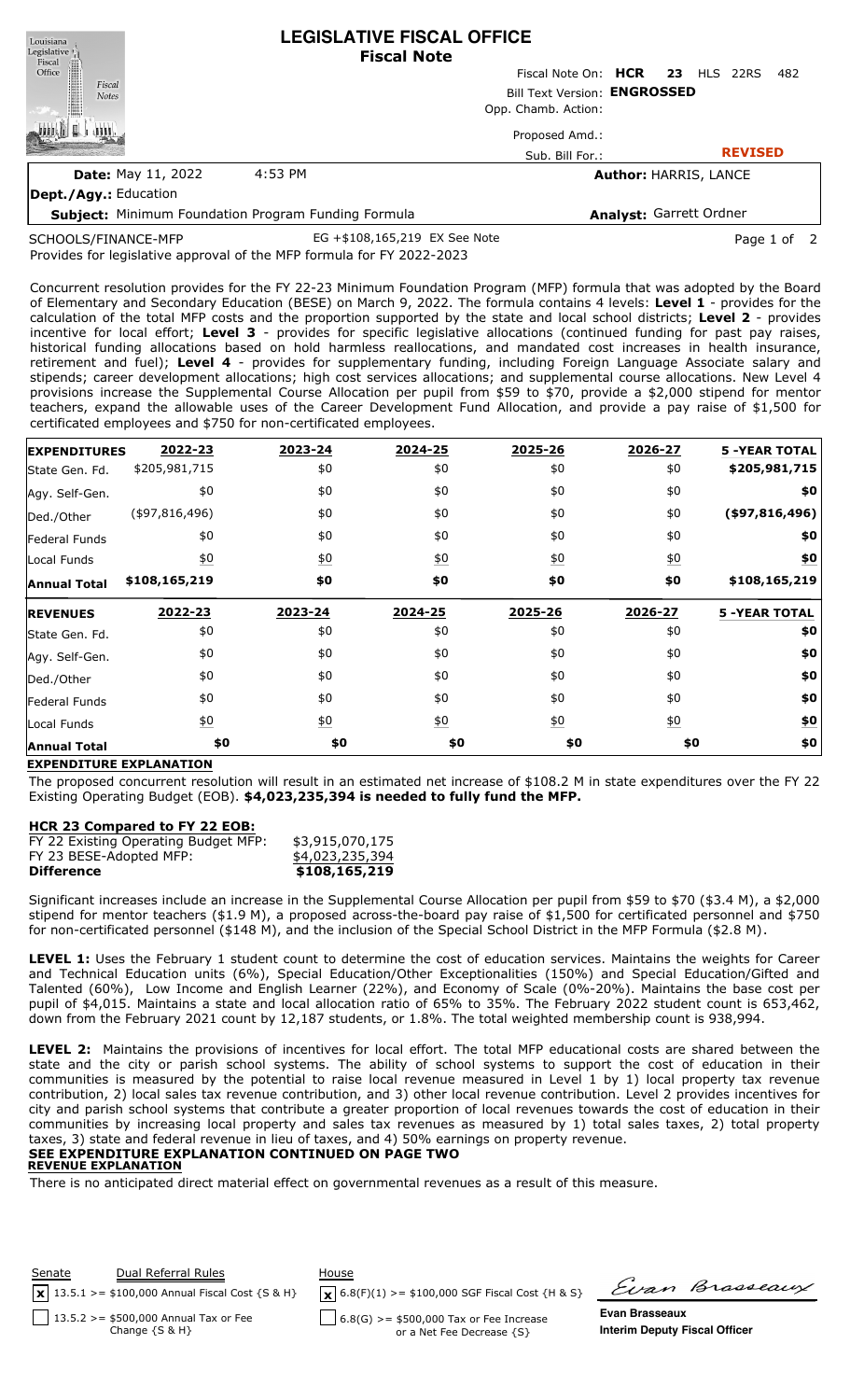| Louisiana<br>Legislative  | <b>LEGISLATIVE FISCAL OFFICE</b><br><b>Fiscal Note</b>     |                                 |  |                              |     |
|---------------------------|------------------------------------------------------------|---------------------------------|--|------------------------------|-----|
| Fiscal<br>Office          |                                                            | Fiscal Note On: HCR 23 HLS 22RS |  |                              | 482 |
| Fiscal<br><b>Notes</b>    | Bill Text Version: ENGROSSED                               |                                 |  |                              |     |
|                           |                                                            | Opp. Chamb. Action:             |  |                              |     |
|                           |                                                            | Proposed Amd.:                  |  |                              |     |
|                           |                                                            | Sub. Bill For.:                 |  | <b>REVISED</b>               |     |
| <b>Date: May 11, 2022</b> | 4:53 PM                                                    |                                 |  | <b>Author: HARRIS, LANCE</b> |     |
| Dept./Agy.: Education     |                                                            |                                 |  |                              |     |
|                           | <b>Subject:</b> Minimum Foundation Program Funding Formula |                                 |  | Analyst: Garrett Ordner      |     |

SCHOOLS/FINANCE-MFP

Provides for legislative approval of the MFP formula for FY 2022-2023 EG +\$108,165,219 EX See Note Page 1 of 2

Concurrent resolution provides for the FY 22-23 Minimum Foundation Program (MFP) formula that was adopted by the Board of Elementary and Secondary Education (BESE) on March 9, 2022. The formula contains 4 levels: **Level 1** - provides for the calculation of the total MFP costs and the proportion supported by the state and local school districts; **Level 2** - provides incentive for local effort; **Level 3** - provides for specific legislative allocations (continued funding for past pay raises, historical funding allocations based on hold harmless reallocations, and mandated cost increases in health insurance, retirement and fuel); **Level 4** - provides for supplementary funding, including Foreign Language Associate salary and stipends; career development allocations; high cost services allocations; and supplemental course allocations. New Level 4 provisions increase the Supplemental Course Allocation per pupil from \$59 to \$70, provide a \$2,000 stipend for mentor teachers, expand the allowable uses of the Career Development Fund Allocation, and provide a pay raise of \$1,500 for certificated employees and \$750 for non-certificated employees.

| <b>EXPENDITURES</b>  | 2022-23           | 2023-24          | 2024-25          | 2025-26          | 2026-27           | <b>5 -YEAR TOTAL</b> |
|----------------------|-------------------|------------------|------------------|------------------|-------------------|----------------------|
| State Gen. Fd.       | \$205,981,715     | \$0              | \$0              | \$0              | \$0               | \$205,981,715        |
| Agy. Self-Gen.       | \$0               | \$0              | \$0              | \$0              | \$0               | \$0                  |
| Ded./Other           | (497, 816, 496)   | \$0              | \$0              | \$0              | \$0               | $($ \$97,816,496)    |
| <b>Federal Funds</b> | \$0               | \$0              | \$0              | \$0              | \$0               | \$0                  |
| Local Funds          | $\underline{50}$  | $\underline{40}$ | $\underline{40}$ | $\underline{50}$ | $\underline{\$0}$ | <u>\$0</u>           |
| <b>Annual Total</b>  | \$108,165,219     | \$0              | \$0              | \$0              | \$0               | \$108,165,219        |
|                      |                   |                  |                  |                  |                   |                      |
| <b>REVENUES</b>      | 2022-23           | 2023-24          | 2024-25          | 2025-26          | 2026-27           | <b>5 -YEAR TOTAL</b> |
| State Gen. Fd.       | \$0               | \$0              | \$0              | \$0              | \$0               | \$0                  |
| Agy. Self-Gen.       | \$0               | \$0              | \$0              | \$0              | \$0               | \$0                  |
| Ded./Other           | \$0               | \$0              | \$0              | \$0              | \$0               | \$0                  |
| Federal Funds        | \$0               | \$0              | \$0              | \$0              | \$0               | \$0                  |
| Local Funds          | $\underline{\$0}$ | $\underline{50}$ | 60               | $\underline{50}$ | $\underline{40}$  | \$0                  |

## **EXPENDITURE EXPLANATION**

The proposed concurrent resolution will result in an estimated net increase of \$108.2 M in state expenditures over the FY 22 Existing Operating Budget (EOB). **\$4,023,235,394 is needed to fully fund the MFP.**

## **HCR 23 Compared to FY 22 EOB:**

| FY 22 Existing Operating Budget MFP: | \$3,915,070,175 |
|--------------------------------------|-----------------|
|                                      |                 |
| FY 23 BESE-Adopted MFP:              | \$4,023,235,394 |
| <b>Difference</b>                    | \$108,165,219   |

Significant increases include an increase in the Supplemental Course Allocation per pupil from \$59 to \$70 (\$3.4 M), a \$2,000 stipend for mentor teachers (\$1.9 M), a proposed across-the-board pay raise of \$1,500 for certificated personnel and \$750 for non-certificated personnel (\$148 M), and the inclusion of the Special School District in the MFP Formula (\$2.8 M).

**LEVEL 1:** Uses the February 1 student count to determine the cost of education services. Maintains the weights for Career and Technical Education units (6%), Special Education/Other Exceptionalities (150%) and Special Education/Gifted and Talented (60%), Low Income and English Learner (22%), and Economy of Scale (0%-20%). Maintains the base cost per pupil of \$4,015. Maintains a state and local allocation ratio of 65% to 35%. The February 2022 student count is 653,462, down from the February 2021 count by 12,187 students, or 1.8%. The total weighted membership count is 938,994.

**LEVEL 2:** Maintains the provisions of incentives for local effort. The total MFP educational costs are shared between the state and the city or parish school systems. The ability of school systems to support the cost of education in their communities is measured by the potential to raise local revenue measured in Level 1 by 1) local property tax revenue contribution, 2) local sales tax revenue contribution, and 3) other local revenue contribution. Level 2 provides incentives for city and parish school systems that contribute a greater proportion of local revenues towards the cost of education in their communities by increasing local property and sales tax revenues as measured by 1) total sales taxes, 2) total property taxes, 3) state and federal revenue in lieu of taxes, and 4) 50% earnings on property revenue. **SEE EXPENDITURE EXPLANATION CONTINUED ON PAGE TWO**

# **REVENUE EXPLANATION**

There is no anticipated direct material effect on governmental revenues as a result of this measure.